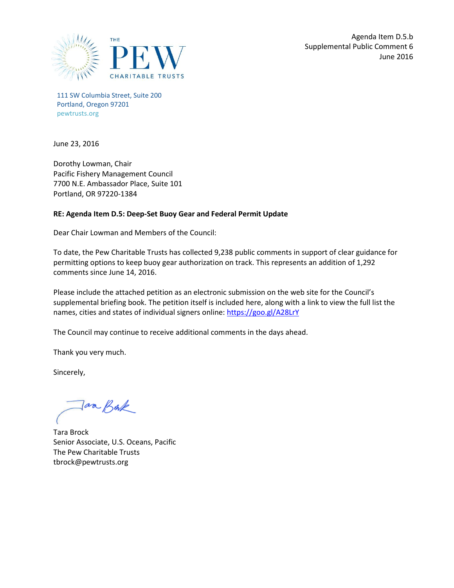

111 SW Columbia Street, Suite 200 Portland, Oregon 97201 pewtrusts.org

June 23, 2016

Dorothy Lowman, Chair Pacific Fishery Management Council 7700 N.E. Ambassador Place, Suite 101 Portland, OR 97220-1384

## **RE: Agenda Item D.5: Deep-Set Buoy Gear and Federal Permit Update**

Dear Chair Lowman and Members of the Council:

To date, the Pew Charitable Trusts has collected 9,238 public comments in support of clear guidance for permitting options to keep buoy gear authorization on track. This represents an addition of 1,292 comments since June 14, 2016.

Please include the attached petition as an electronic submission on the web site for the Council's supplemental briefing book. The petition itself is included here, along with a link to view the full list the names, cities and states of individual signers online:<https://goo.gl/A28LrY>

The Council may continue to receive additional comments in the days ahead.

Thank you very much.

Sincerely,

aa Bak

Tara Brock Senior Associate, U.S. Oceans, Pacific The Pew Charitable Trusts tbrock@pewtrusts.org